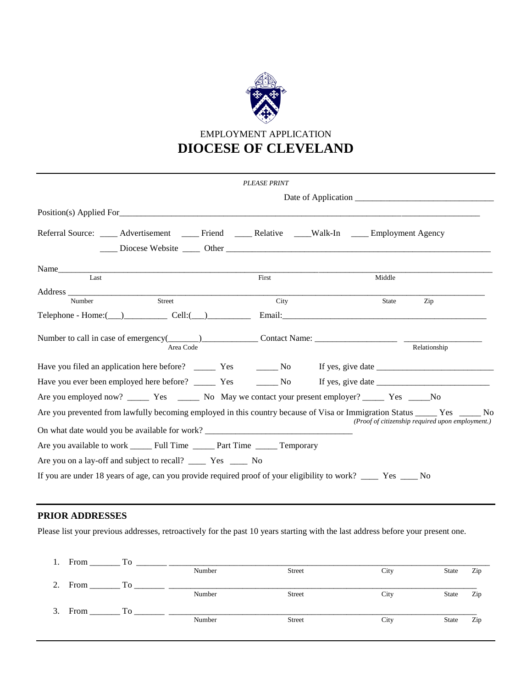

# EMPLOYMENT APPLICATION **DIOCESE OF CLEVELAND**

|                                                                                                                                                                                                                                                                                                                                            | <b>PLEASE PRINT</b> |              |                                                           |
|--------------------------------------------------------------------------------------------------------------------------------------------------------------------------------------------------------------------------------------------------------------------------------------------------------------------------------------------|---------------------|--------------|-----------------------------------------------------------|
|                                                                                                                                                                                                                                                                                                                                            |                     |              |                                                           |
|                                                                                                                                                                                                                                                                                                                                            |                     |              |                                                           |
| Referral Source: _____ Advertisement _____ Friend _____ Relative ____Walk-In ____ Employment Agency<br>Diocese Website <u>Diocese Website</u> Discrete Charles Charles Charles Charles Charles Charles Charles Charles Charles Charles Charles Charles Charles Charles Charles Charles Charles Charles Charles Charles Charles Charles Cha |                     |              |                                                           |
|                                                                                                                                                                                                                                                                                                                                            |                     |              |                                                           |
| Last                                                                                                                                                                                                                                                                                                                                       | First               | Middle       |                                                           |
| Street<br>Number                                                                                                                                                                                                                                                                                                                           | City                | <b>State</b> | Zip                                                       |
| $\text{Telephone - Home:} (\_\_)$ $\text{Cell:} (\_\_)$ $\text{Email:}$                                                                                                                                                                                                                                                                    |                     |              |                                                           |
| Number to call in case of emergency(______)____________________Contact Name: _________________________________<br>Area Code                                                                                                                                                                                                                |                     |              | Relationship                                              |
|                                                                                                                                                                                                                                                                                                                                            |                     |              |                                                           |
|                                                                                                                                                                                                                                                                                                                                            |                     |              |                                                           |
|                                                                                                                                                                                                                                                                                                                                            |                     |              |                                                           |
| Are you prevented from lawfully becoming employed in this country because of Visa or Immigration Status _____ Yes _____ No                                                                                                                                                                                                                 |                     |              | ( <i>Proof of citizenship required upon employment.</i> ) |
| On what date would you be available for work? __________________________________                                                                                                                                                                                                                                                           |                     |              |                                                           |
| Are you available to work _____ Full Time _____ Part Time _____ Temporary                                                                                                                                                                                                                                                                  |                     |              |                                                           |
|                                                                                                                                                                                                                                                                                                                                            |                     |              |                                                           |
| If you are under 18 years of age, can you provide required proof of your eligibility to work? ____ Yes ___ No                                                                                                                                                                                                                              |                     |              |                                                           |

## **PRIOR ADDRESSES**

Please list your previous addresses, retroactively for the past 10 years starting with the last address before your present one.

| 1. | From    | TО        |        |               |      |       |     |
|----|---------|-----------|--------|---------------|------|-------|-----|
|    |         |           | Number | <b>Street</b> | City | State | Zip |
| 2. | From    | <b>To</b> |        |               |      |       |     |
|    |         |           | Number | <b>Street</b> | City | State | Zip |
|    | 3. From | Tо        |        |               |      |       |     |
|    |         |           | Number | <b>Street</b> | City | State | Zip |
|    |         |           |        |               |      |       |     |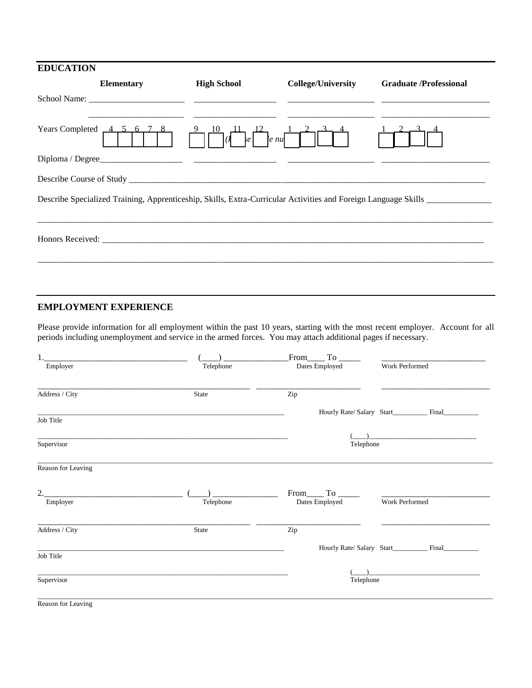| <b>EDUCATION</b>                                                                                               |                    |                           |                               |
|----------------------------------------------------------------------------------------------------------------|--------------------|---------------------------|-------------------------------|
| <b>Elementary</b>                                                                                              | <b>High School</b> | <b>College/University</b> | <b>Graduate /Professional</b> |
|                                                                                                                |                    |                           |                               |
| Years Completed $\overline{4, 5, 6, 7}$ ,<br>8                                                                 | $\mathbf{e}$       | $ e\>nu$                  |                               |
| Diploma / Degree                                                                                               |                    |                           |                               |
|                                                                                                                |                    |                           |                               |
| Describe Specialized Training, Apprenticeship, Skills, Extra-Curricular Activities and Foreign Language Skills |                    |                           |                               |
|                                                                                                                |                    |                           |                               |
|                                                                                                                |                    |                           |                               |
|                                                                                                                |                    |                           |                               |
|                                                                                                                |                    |                           |                               |
|                                                                                                                |                    |                           |                               |

### **EMPLOYMENT EXPERIENCE**

Please provide information for all employment within the past 10 years, starting with the most recent employer. Account for all periods including unemployment and service in the armed forces. You may attach additional pages if necessary.

| Employer           | Telephone | Dates Employed  | Work Performed                                    |
|--------------------|-----------|-----------------|---------------------------------------------------|
| Address / City     | State     | Zip             |                                                   |
| Job Title          |           |                 | Hourly Rate/ Salary Start_________ Final_________ |
|                    |           |                 |                                                   |
| Supervisor         |           | Telephone       |                                                   |
| Reason for Leaving |           |                 |                                                   |
| 2.                 |           | $From \_ To \_$ |                                                   |
| Employer           | Telephone | Dates Employed  | Work Performed                                    |
| Address / City     | State     | Zip             |                                                   |
| Job Title          |           |                 | Hourly Rate/ Salary Start_________ Final___       |
|                    |           |                 |                                                   |
| Supervisor         |           | Telephone       |                                                   |
| Reason for Leaving |           |                 |                                                   |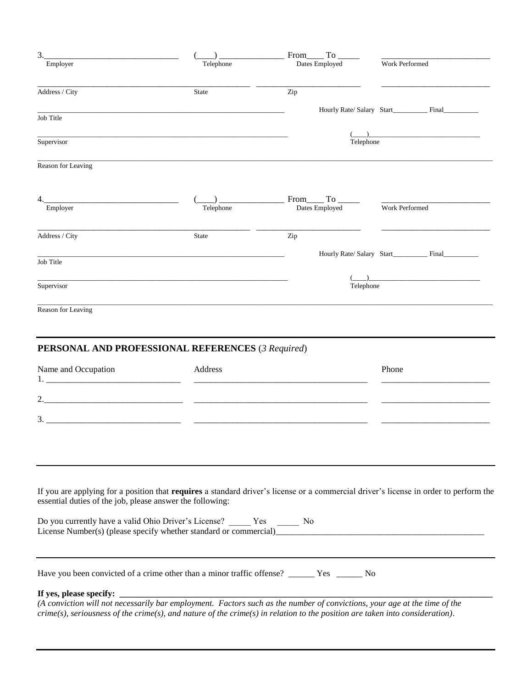| 3.                                                                                        |              | From To                                                                                                                                                                                                                                                                                        |                                                  |
|-------------------------------------------------------------------------------------------|--------------|------------------------------------------------------------------------------------------------------------------------------------------------------------------------------------------------------------------------------------------------------------------------------------------------|--------------------------------------------------|
| Employer                                                                                  | Telephone    | Dates Employed                                                                                                                                                                                                                                                                                 | Work Performed                                   |
| Address / City                                                                            | <b>State</b> | Zip                                                                                                                                                                                                                                                                                            |                                                  |
| Job Title                                                                                 |              |                                                                                                                                                                                                                                                                                                | Hourly Rate/Salary Start <b>Example 26 Final</b> |
| Supervisor                                                                                |              |                                                                                                                                                                                                                                                                                                |                                                  |
|                                                                                           |              | Telephone                                                                                                                                                                                                                                                                                      |                                                  |
| Reason for Leaving                                                                        |              |                                                                                                                                                                                                                                                                                                |                                                  |
| 4.                                                                                        |              | From______ To ______                                                                                                                                                                                                                                                                           |                                                  |
| Employer                                                                                  | Telephone    | Dates Employed                                                                                                                                                                                                                                                                                 | Work Performed                                   |
| Address / City                                                                            | <b>State</b> | Zip                                                                                                                                                                                                                                                                                            |                                                  |
| Job Title                                                                                 |              |                                                                                                                                                                                                                                                                                                | Hourly Rate/ Salary Start_________ Final_______  |
| Supervisor                                                                                |              | Telephone                                                                                                                                                                                                                                                                                      |                                                  |
| Reason for Leaving                                                                        |              |                                                                                                                                                                                                                                                                                                |                                                  |
|                                                                                           |              |                                                                                                                                                                                                                                                                                                |                                                  |
| PERSONAL AND PROFESSIONAL REFERENCES (3 Required)                                         |              |                                                                                                                                                                                                                                                                                                |                                                  |
| Name and Occupation<br>1.                                                                 | Address      |                                                                                                                                                                                                                                                                                                | Phone                                            |
| 2.                                                                                        |              |                                                                                                                                                                                                                                                                                                |                                                  |
| 3.                                                                                        |              |                                                                                                                                                                                                                                                                                                |                                                  |
|                                                                                           |              |                                                                                                                                                                                                                                                                                                |                                                  |
|                                                                                           |              |                                                                                                                                                                                                                                                                                                |                                                  |
|                                                                                           |              |                                                                                                                                                                                                                                                                                                |                                                  |
| essential duties of the job, please answer the following:                                 |              | If you are applying for a position that requires a standard driver's license or a commercial driver's license in order to perform the                                                                                                                                                          |                                                  |
|                                                                                           |              |                                                                                                                                                                                                                                                                                                |                                                  |
| Have you been convicted of a crime other than a minor traffic offense? _____ Yes _____ No |              |                                                                                                                                                                                                                                                                                                |                                                  |
|                                                                                           |              | <b>If yes, please specify:</b><br>(A conviction will not necessarily bar employment. Factors such as the number of convictions, your age at the time of the<br>$c$ rime(s), seriousness of the crime(s), and nature of the crime(s) in relation to the position are taken into consideration). |                                                  |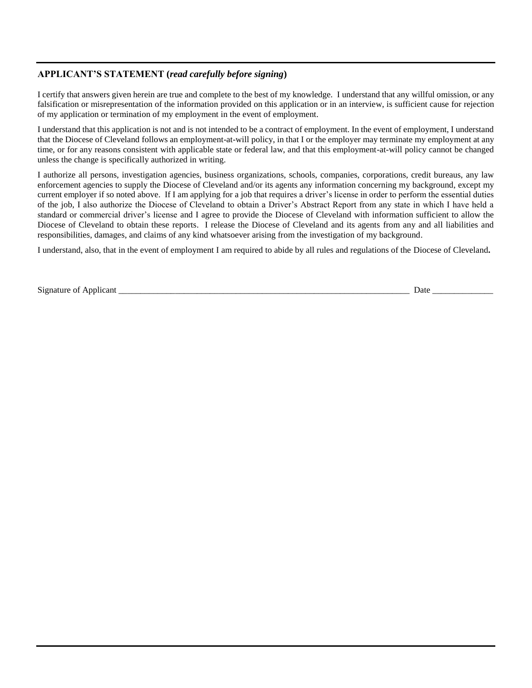#### **APPLICANT'S STATEMENT (***read carefully before signing***)**

I certify that answers given herein are true and complete to the best of my knowledge. I understand that any willful omission, or any falsification or misrepresentation of the information provided on this application or in an interview, is sufficient cause for rejection of my application or termination of my employment in the event of employment.

I understand that this application is not and is not intended to be a contract of employment. In the event of employment, I understand that the Diocese of Cleveland follows an employment-at-will policy, in that I or the employer may terminate my employment at any time, or for any reasons consistent with applicable state or federal law, and that this employment-at-will policy cannot be changed unless the change is specifically authorized in writing.

I authorize all persons, investigation agencies, business organizations, schools, companies, corporations, credit bureaus, any law enforcement agencies to supply the Diocese of Cleveland and/or its agents any information concerning my background, except my current employer if so noted above. If I am applying for a job that requires a driver's license in order to perform the essential duties of the job, I also authorize the Diocese of Cleveland to obtain a Driver's Abstract Report from any state in which I have held a standard or commercial driver's license and I agree to provide the Diocese of Cleveland with information sufficient to allow the Diocese of Cleveland to obtain these reports. I release the Diocese of Cleveland and its agents from any and all liabilities and responsibilities, damages, and claims of any kind whatsoever arising from the investigation of my background.

I understand, also, that in the event of employment I am required to abide by all rules and regulations of the Diocese of Cleveland**.**

| $\sim$ $\sim$                  |      |  |
|--------------------------------|------|--|
| Signature<br>Applicant<br>: ot | Date |  |